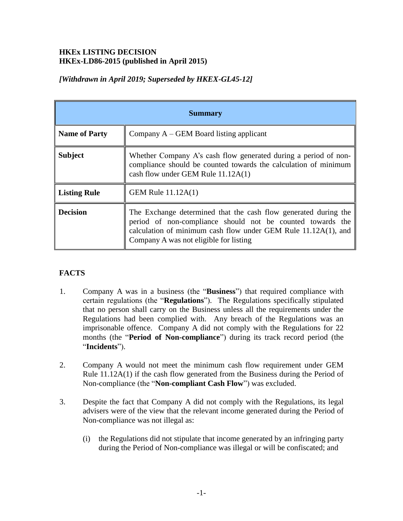## **HKEx LISTING DECISION HKEx-LD86-2015 (published in April 2015)**

|  |  |  |  | [Withdrawn in April 2019; Superseded by HKEX-GL45-12] |
|--|--|--|--|-------------------------------------------------------|
|--|--|--|--|-------------------------------------------------------|

|                      | <b>Summary</b>                                                                                                                                                                                                                            |  |
|----------------------|-------------------------------------------------------------------------------------------------------------------------------------------------------------------------------------------------------------------------------------------|--|
| <b>Name of Party</b> | Company $A - GEM$ Board listing applicant                                                                                                                                                                                                 |  |
| <b>Subject</b>       | Whether Company A's cash flow generated during a period of non-<br>compliance should be counted towards the calculation of minimum<br>cash flow under GEM Rule 11.12A(1)                                                                  |  |
| <b>Listing Rule</b>  | GEM Rule 11.12A(1)                                                                                                                                                                                                                        |  |
| <b>Decision</b>      | The Exchange determined that the cash flow generated during the<br>period of non-compliance should not be counted towards the<br>calculation of minimum cash flow under GEM Rule 11.12A(1), and<br>Company A was not eligible for listing |  |

# **FACTS**

- 1. Company A was in a business (the "**Business**") that required compliance with certain regulations (the "**Regulations**"). The Regulations specifically stipulated that no person shall carry on the Business unless all the requirements under the Regulations had been complied with. Any breach of the Regulations was an imprisonable offence. Company A did not comply with the Regulations for 22 months (the "**Period of Non-compliance**") during its track record period (the "**Incidents**").
- 2. Company A would not meet the minimum cash flow requirement under GEM Rule 11.12A(1) if the cash flow generated from the Business during the Period of Non-compliance (the "**Non-compliant Cash Flow**") was excluded.
- 3. Despite the fact that Company A did not comply with the Regulations, its legal advisers were of the view that the relevant income generated during the Period of Non-compliance was not illegal as:
	- (i) the Regulations did not stipulate that income generated by an infringing party during the Period of Non-compliance was illegal or will be confiscated; and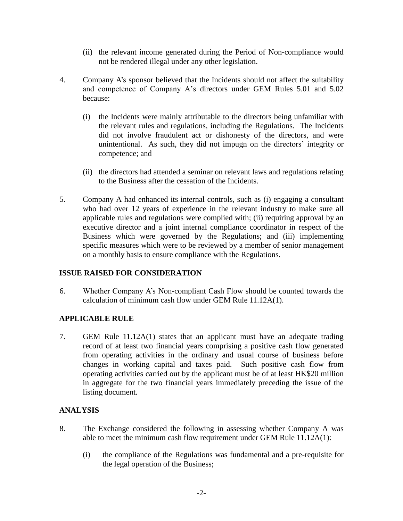- (ii) the relevant income generated during the Period of Non-compliance would not be rendered illegal under any other legislation.
- 4. Company A's sponsor believed that the Incidents should not affect the suitability and competence of Company A's directors under GEM Rules 5.01 and 5.02 because:
	- (i) the Incidents were mainly attributable to the directors being unfamiliar with the relevant rules and regulations, including the Regulations. The Incidents did not involve fraudulent act or dishonesty of the directors, and were unintentional. As such, they did not impugn on the directors' integrity or competence; and
	- (ii) the directors had attended a seminar on relevant laws and regulations relating to the Business after the cessation of the Incidents.
- 5. Company A had enhanced its internal controls, such as (i) engaging a consultant who had over 12 years of experience in the relevant industry to make sure all applicable rules and regulations were complied with; (ii) requiring approval by an executive director and a joint internal compliance coordinator in respect of the Business which were governed by the Regulations; and (iii) implementing specific measures which were to be reviewed by a member of senior management on a monthly basis to ensure compliance with the Regulations.

## **ISSUE RAISED FOR CONSIDERATION**

6. Whether Company A's Non-compliant Cash Flow should be counted towards the calculation of minimum cash flow under GEM Rule 11.12A(1).

## **APPLICABLE RULE**

7. GEM Rule 11.12A(1) states that an applicant must have an adequate trading record of at least two financial years comprising a positive cash flow generated from operating activities in the ordinary and usual course of business before changes in working capital and taxes paid. Such positive cash flow from operating activities carried out by the applicant must be of at least HK\$20 million in aggregate for the two financial years immediately preceding the issue of the listing document.

## **ANALYSIS**

- 8. The Exchange considered the following in assessing whether Company A was able to meet the minimum cash flow requirement under GEM Rule 11.12A(1):
	- (i) the compliance of the Regulations was fundamental and a pre-requisite for the legal operation of the Business;